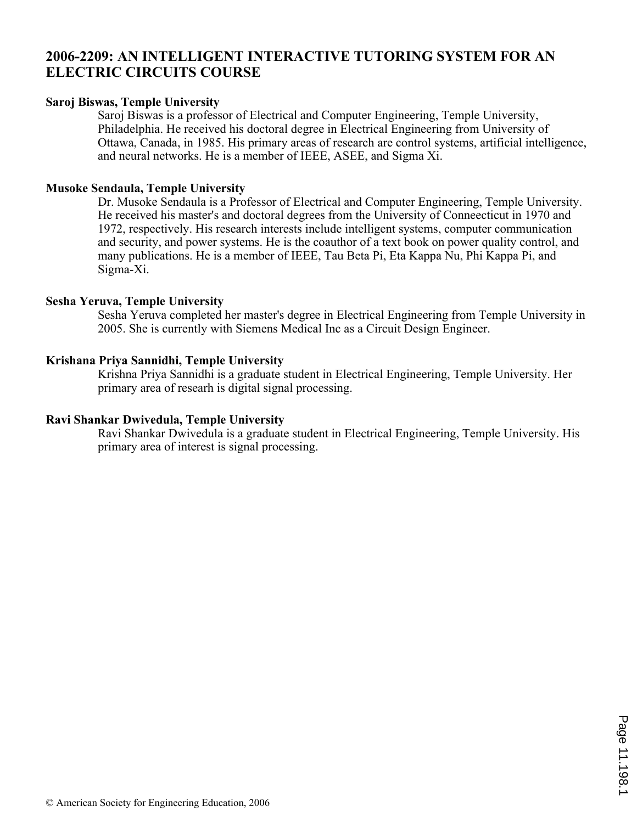# **2006-2209: AN INTELLIGENT INTERACTIVE TUTORING SYSTEM FOR AN ELECTRIC CIRCUITS COURSE**

#### **Saroj Biswas, Temple University**

Saroj Biswas is a professor of Electrical and Computer Engineering, Temple University, Philadelphia. He received his doctoral degree in Electrical Engineering from University of Ottawa, Canada, in 1985. His primary areas of research are control systems, artificial intelligence, and neural networks. He is a member of IEEE, ASEE, and Sigma Xi.

#### **Musoke Sendaula, Temple University**

Dr. Musoke Sendaula is a Professor of Electrical and Computer Engineering, Temple University. He received his master's and doctoral degrees from the University of Conneecticut in 1970 and 1972, respectively. His research interests include intelligent systems, computer communication and security, and power systems. He is the coauthor of a text book on power quality control, and many publications. He is a member of IEEE, Tau Beta Pi, Eta Kappa Nu, Phi Kappa Pi, and Sigma-Xi.

#### **Sesha Yeruva, Temple University**

Sesha Yeruva completed her master's degree in Electrical Engineering from Temple University in 2005. She is currently with Siemens Medical Inc as a Circuit Design Engineer.

#### **Krishana Priya Sannidhi, Temple University**

Krishna Priya Sannidhi is a graduate student in Electrical Engineering, Temple University. Her primary area of researh is digital signal processing.

#### **Ravi Shankar Dwivedula, Temple University**

Ravi Shankar Dwivedula is a graduate student in Electrical Engineering, Temple University. His primary area of interest is signal processing.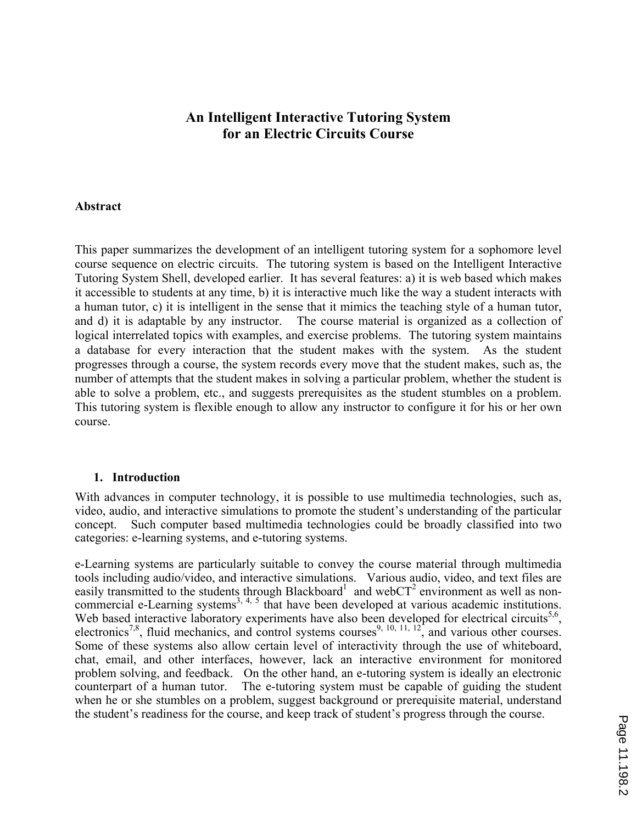# **An Intelligent Interactive Tutoring System for an Electric Circuits Course**

#### **Abstract**

This paper summarizes the development of an intelligent tutoring system for a sophomore level course sequence on electric circuits. The tutoring system is based on the Intelligent Interactive Tutoring System Shell, developed earlier. It has several features: a) it is web based which makes it accessible to students at any time, b) it is interactive much like the way a student interacts with a human tutor, c) it is intelligent in the sense that it mimics the teaching style of a human tutor, and d) it is adaptable by any instructor. The course material is organized as a collection of logical interrelated topics with examples, and exercise problems. The tutoring system maintains a database for every interaction that the student makes with the system. As the student progresses through a course, the system records every move that the student makes, such as, the number of attempts that the student makes in solving a particular problem, whether the student is able to solve a problem, etc., and suggests prerequisites as the student stumbles on a problem. This tutoring system is flexible enough to allow any instructor to configure it for his or her own course.

#### **1. Introduction**

With advances in computer technology, it is possible to use multimedia technologies, such as, video, audio, and interactive simulations to promote the student's understanding of the particular concept. Such computer based multimedia technologies could be broadly classified into two categories: e-learning systems, and e-tutoring systems.

e-Learning systems are particularly suitable to convey the course material through multimedia tools including audio/video, and interactive simulations. Various audio, video, and text files are easily transmitted to the students through Blackboard<sup>1</sup> and webCT<sup>2</sup> environment as well as noncommercial e-Learning systems<sup>3, 4, 5</sup> that have been developed at various academic institutions. Web based interactive laboratory experiments have also been developed for electrical circuits<sup>5,6</sup>, electronics<sup>7,8</sup>, fluid mechanics, and control systems courses<sup>9, 10, 11, 12</sup>, and various other courses. Some of these systems also allow certain level of interactivity through the use of whiteboard, chat, email, and other interfaces, however, lack an interactive environment for monitored problem solving, and feedback. On the other hand, an e-tutoring system is ideally an electronic counterpart of a human tutor. The e-tutoring system must be capable of guiding the student when he or she stumbles on a problem, suggest background or prerequisite material, understand the student's readiness for the course, and keep track of student's progress through the course.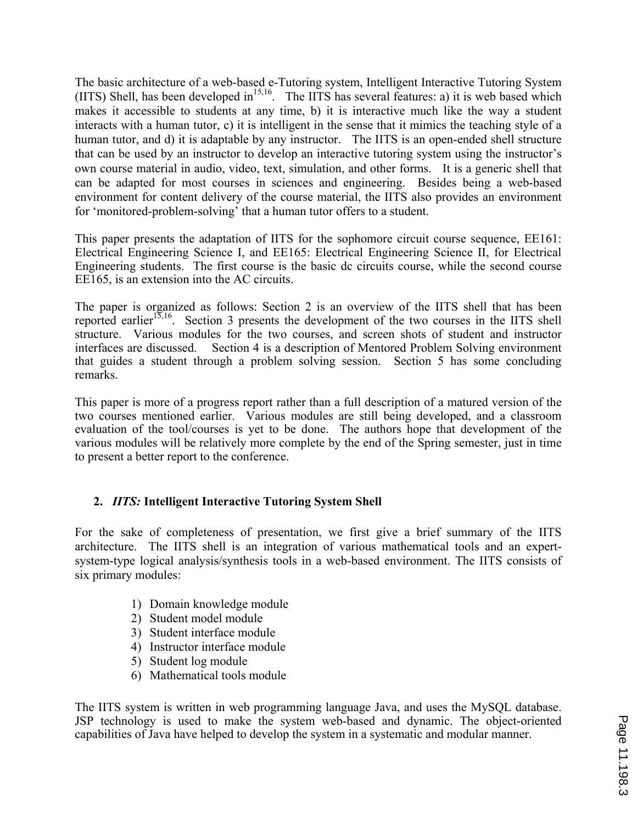The basic architecture of a web-based e-Tutoring system, Intelligent Interactive Tutoring System (IITS) Shell, has been developed in<sup>15,16</sup>. The IITS has several features: a) it is web based which makes it accessible to students at any time, b) it is interactive much like the way a student interacts with a human tutor, c) it is intelligent in the sense that it mimics the teaching style of a human tutor, and d) it is adaptable by any instructor. The IITS is an open-ended shell structure that can be used by an instructor to develop an interactive tutoring system using the instructor's own course material in audio, video, text, simulation, and other forms. It is a generic shell that can be adapted for most courses in sciences and engineering. Besides being a web-based environment for content delivery of the course material, the IITS also provides an environment for 'monitored-problem-solving' that a human tutor offers to a student.

This paper presents the adaptation of IITS for the sophomore circuit course sequence, EE161: Electrical Engineering Science I, and EE165: Electrical Engineering Science II, for Electrical Engineering students. The first course is the basic dc circuits course, while the second course EE165, is an extension into the AC circuits.

The paper is organized as follows: Section 2 is an overview of the IITS shell that has been reported earlier<sup>15,16</sup>. Section 3 presents the development of the two courses in the IITS shell structure. Various modules for the two courses, and screen shots of student and instructor interfaces are discussed. Section 4 is a description of Mentored Problem Solving environment that guides a student through a problem solving session. Section 5 has some concluding remarks.

This paper is more of a progress report rather than a full description of a matured version of the two courses mentioned earlier. Various modules are still being developed, and a classroom evaluation of the tool/courses is yet to be done. The authors hope that development of the various modules will be relatively more complete by the end of the Spring semester, just in time to present a better report to the conference.

## **2.** *IITS:* **Intelligent Interactive Tutoring System Shell**

For the sake of completeness of presentation, we first give a brief summary of the IITS architecture. The IITS shell is an integration of various mathematical tools and an expertsystem-type logical analysis/synthesis tools in a web-based environment. The IITS consists of six primary modules:

- 1) Domain knowledge module
- 2) Student model module
- 3) Student interface module
- 4) Instructor interface module
- 5) Student log module
- 6) Mathematical tools module

The IITS system is written in web programming language Java, and uses the MySQL database. JSP technology is used to make the system web-based and dynamic. The object-oriented capabilities of Java have helped to develop the system in a systematic and modular manner.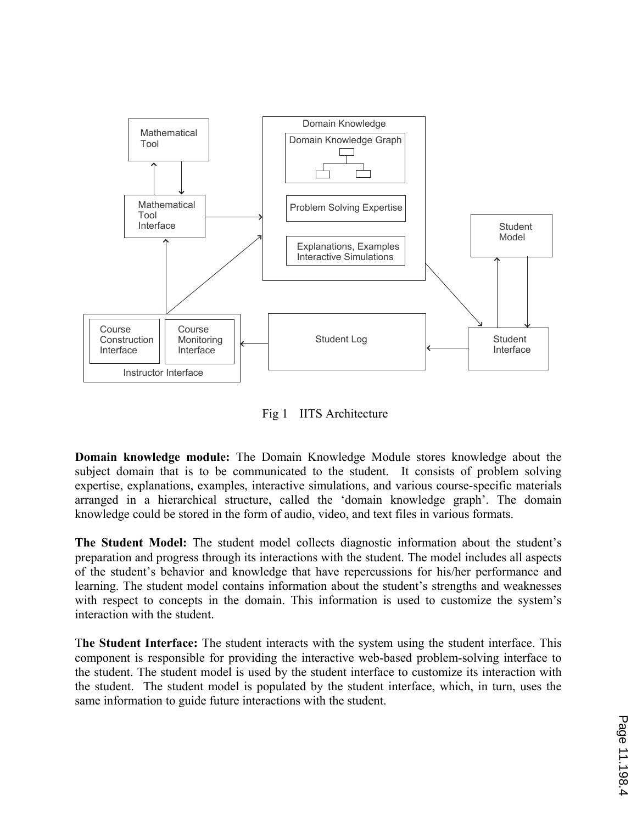

Fig 1 IITS Architecture

**Domain knowledge module:** The Domain Knowledge Module stores knowledge about the subject domain that is to be communicated to the student. It consists of problem solving expertise, explanations, examples, interactive simulations, and various course-specific materials arranged in a hierarchical structure, called the 'domain knowledge graph'. The domain knowledge could be stored in the form of audio, video, and text files in various formats.

**The Student Model:** The student model collects diagnostic information about the student's preparation and progress through its interactions with the student. The model includes all aspects of the student's behavior and knowledge that have repercussions for his/her performance and learning. The student model contains information about the student's strengths and weaknesses with respect to concepts in the domain. This information is used to customize the system's interaction with the student.

T**he Student Interface:** The student interacts with the system using the student interface. This component is responsible for providing the interactive web-based problem-solving interface to the student. The student model is used by the student interface to customize its interaction with the student. The student model is populated by the student interface, which, in turn, uses the same information to guide future interactions with the student.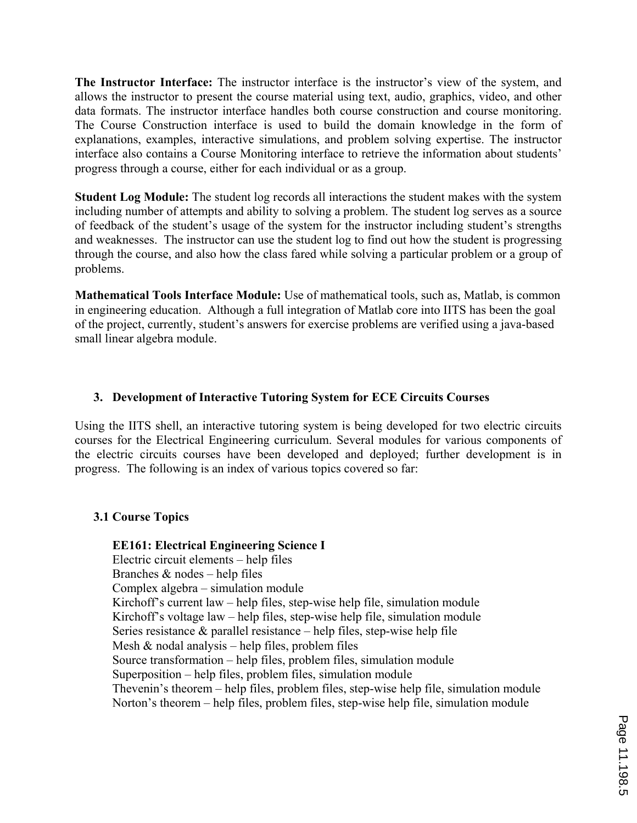**The Instructor Interface:** The instructor interface is the instructor's view of the system, and allows the instructor to present the course material using text, audio, graphics, video, and other data formats. The instructor interface handles both course construction and course monitoring. The Course Construction interface is used to build the domain knowledge in the form of explanations, examples, interactive simulations, and problem solving expertise. The instructor interface also contains a Course Monitoring interface to retrieve the information about students' progress through a course, either for each individual or as a group.

**Student Log Module:** The student log records all interactions the student makes with the system including number of attempts and ability to solving a problem. The student log serves as a source of feedback of the student's usage of the system for the instructor including student's strengths and weaknesses. The instructor can use the student log to find out how the student is progressing through the course, and also how the class fared while solving a particular problem or a group of problems.

**Mathematical Tools Interface Module:** Use of mathematical tools, such as, Matlab, is common in engineering education. Although a full integration of Matlab core into IITS has been the goal of the project, currently, student's answers for exercise problems are verified using a java-based small linear algebra module.

## **3. Development of Interactive Tutoring System for ECE Circuits Courses**

Using the IITS shell, an interactive tutoring system is being developed for two electric circuits courses for the Electrical Engineering curriculum. Several modules for various components of the electric circuits courses have been developed and deployed; further development is in progress. The following is an index of various topics covered so far:

## **3.1 Course Topics**

**EE161: Electrical Engineering Science I**  Electric circuit elements – help files Branches  $&$  nodes – help files Complex algebra – simulation module Kirchoff's current law – help files, step-wise help file, simulation module Kirchoff's voltage law – help files, step-wise help file, simulation module Series resistance & parallel resistance – help files, step-wise help file Mesh  $&$  nodal analysis – help files, problem files Source transformation – help files, problem files, simulation module Superposition – help files, problem files, simulation module Thevenin's theorem – help files, problem files, step-wise help file, simulation module Norton's theorem – help files, problem files, step-wise help file, simulation module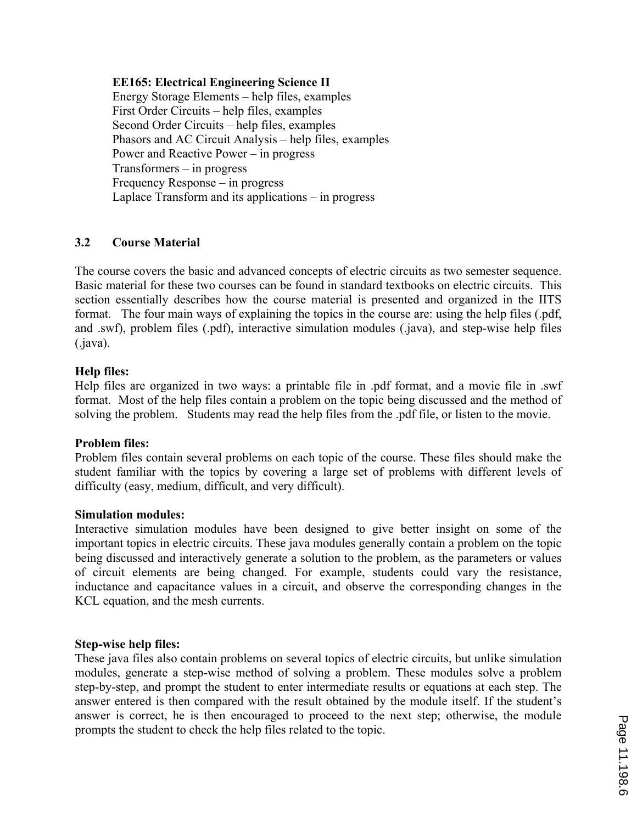#### **EE165: Electrical Engineering Science II**

Energy Storage Elements – help files, examples First Order Circuits – help files, examples Second Order Circuits – help files, examples Phasors and AC Circuit Analysis – help files, examples Power and Reactive Power – in progress Transformers – in progress Frequency Response – in progress Laplace Transform and its applications – in progress

### **3.2 Course Material**

The course covers the basic and advanced concepts of electric circuits as two semester sequence. Basic material for these two courses can be found in standard textbooks on electric circuits. This section essentially describes how the course material is presented and organized in the IITS format. The four main ways of explaining the topics in the course are: using the help files (.pdf, and .swf), problem files (.pdf), interactive simulation modules (.java), and step-wise help files (.java).

#### **Help files:**

Help files are organized in two ways: a printable file in .pdf format, and a movie file in .swf format. Most of the help files contain a problem on the topic being discussed and the method of solving the problem. Students may read the help files from the .pdf file, or listen to the movie.

#### **Problem files:**

Problem files contain several problems on each topic of the course. These files should make the student familiar with the topics by covering a large set of problems with different levels of difficulty (easy, medium, difficult, and very difficult).

#### **Simulation modules:**

Interactive simulation modules have been designed to give better insight on some of the important topics in electric circuits. These java modules generally contain a problem on the topic being discussed and interactively generate a solution to the problem, as the parameters or values of circuit elements are being changed. For example, students could vary the resistance, inductance and capacitance values in a circuit, and observe the corresponding changes in the KCL equation, and the mesh currents.

#### **Step-wise help files:**

These java files also contain problems on several topics of electric circuits, but unlike simulation modules, generate a step-wise method of solving a problem. These modules solve a problem step-by-step, and prompt the student to enter intermediate results or equations at each step. The answer entered is then compared with the result obtained by the module itself. If the student's answer is correct, he is then encouraged to proceed to the next step; otherwise, the module prompts the student to check the help files related to the topic.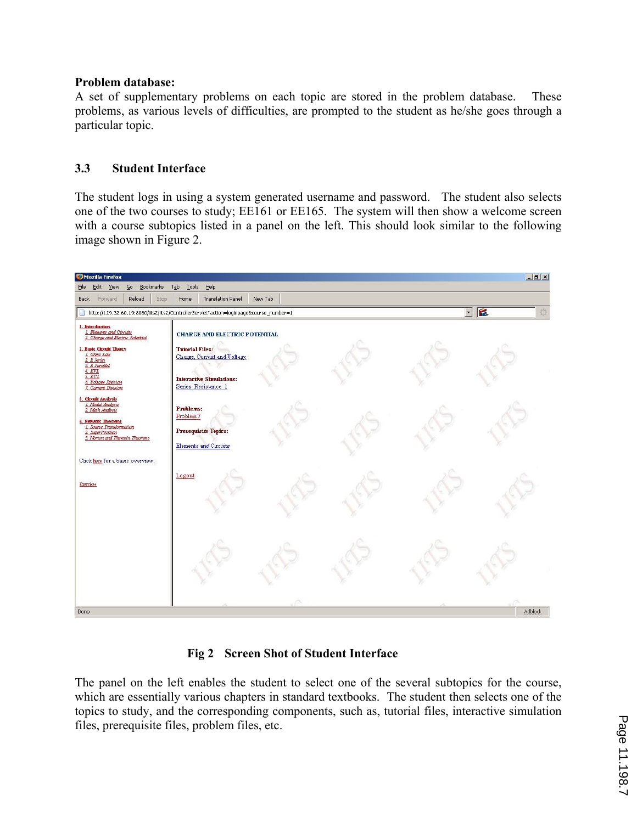### **Problem database:**

A set of supplementary problems on each topic are stored in the problem database. These problems, as various levels of difficulties, are prompted to the student as he/she goes through a particular topic.

## **3.3 Student Interface**

The student logs in using a system generated username and password. The student also selects one of the two courses to study; EE161 or EE165. The system will then show a welcome screen with a course subtopics listed in a panel on the left. This should look similar to the following image shown in Figure 2.



## **Fig 2 Screen Shot of Student Interface**

The panel on the left enables the student to select one of the several subtopics for the course, which are essentially various chapters in standard textbooks. The student then selects one of the topics to study, and the corresponding components, such as, tutorial files, interactive simulation files, prerequisite files, problem files, etc.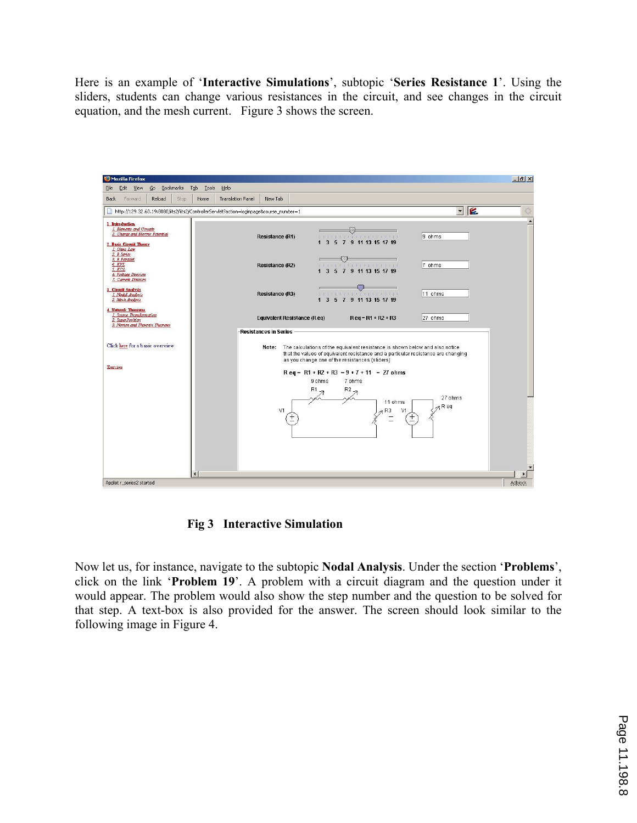Here is an example of '**Interactive Simulations**', subtopic '**Series Resistance 1**'. Using the sliders, students can change various resistances in the circuit, and see changes in the circuit equation, and the mesh current. Figure 3 shows the screen.



**Fig 3 Interactive Simulation** 

Now let us, for instance, navigate to the subtopic **Nodal Analysis**. Under the section '**Problems**', click on the link '**Problem 19**'. A problem with a circuit diagram and the question under it would appear. The problem would also show the step number and the question to be solved for that step. A text-box is also provided for the answer. The screen should look similar to the following image in Figure 4.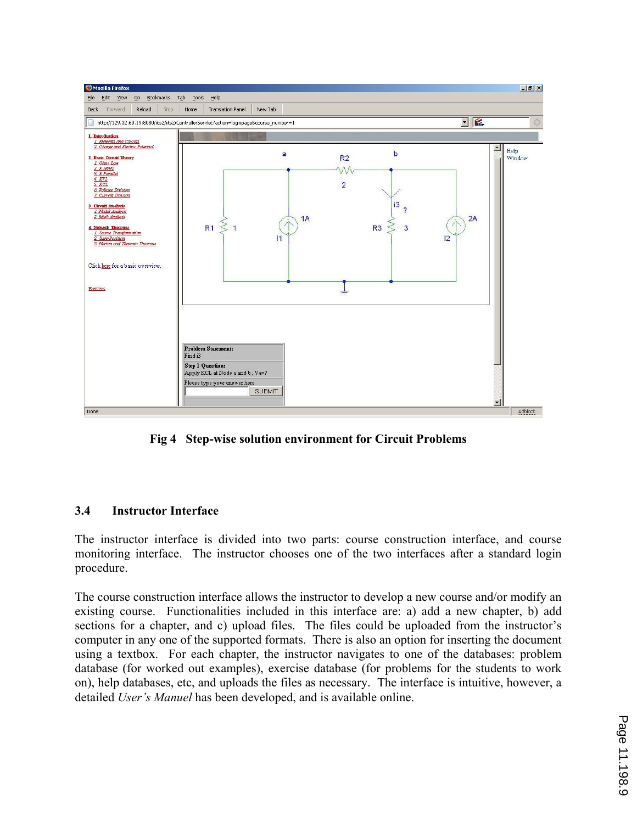

 **Fig 4 Step-wise solution environment for Circuit Problems** 

## **3.4 Instructor Interface**

The instructor interface is divided into two parts: course construction interface, and course monitoring interface. The instructor chooses one of the two interfaces after a standard login procedure.

The course construction interface allows the instructor to develop a new course and/or modify an existing course. Functionalities included in this interface are: a) add a new chapter, b) add sections for a chapter, and c) upload files. The files could be uploaded from the instructor's computer in any one of the supported formats. There is also an option for inserting the document using a textbox. For each chapter, the instructor navigates to one of the databases: problem database (for worked out examples), exercise database (for problems for the students to work on), help databases, etc, and uploads the files as necessary. The interface is intuitive, however, a detailed *User's Manuel* has been developed, and is available online.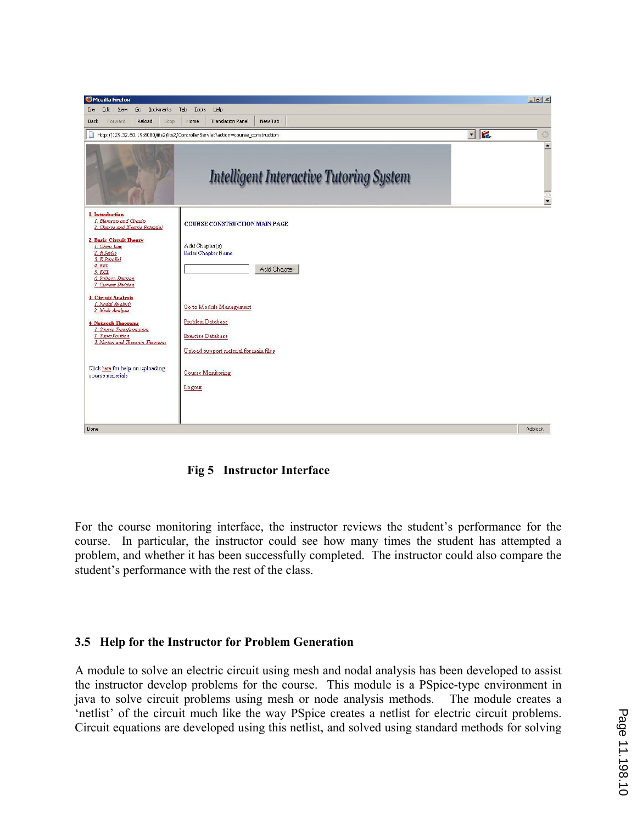

**Fig 5 Instructor Interface** 

For the course monitoring interface, the instructor reviews the student's performance for the course. In particular, the instructor could see how many times the student has attempted a problem, and whether it has been successfully completed. The instructor could also compare the student's performance with the rest of the class.

#### **3.5 Help for the Instructor for Problem Generation**

A module to solve an electric circuit using mesh and nodal analysis has been developed to assist the instructor develop problems for the course. This module is a PSpice-type environment in java to solve circuit problems using mesh or node analysis methods. The module creates a 'netlist' of the circuit much like the way PSpice creates a netlist for electric circuit problems. Circuit equations are developed using this netlist, and solved using standard methods for solving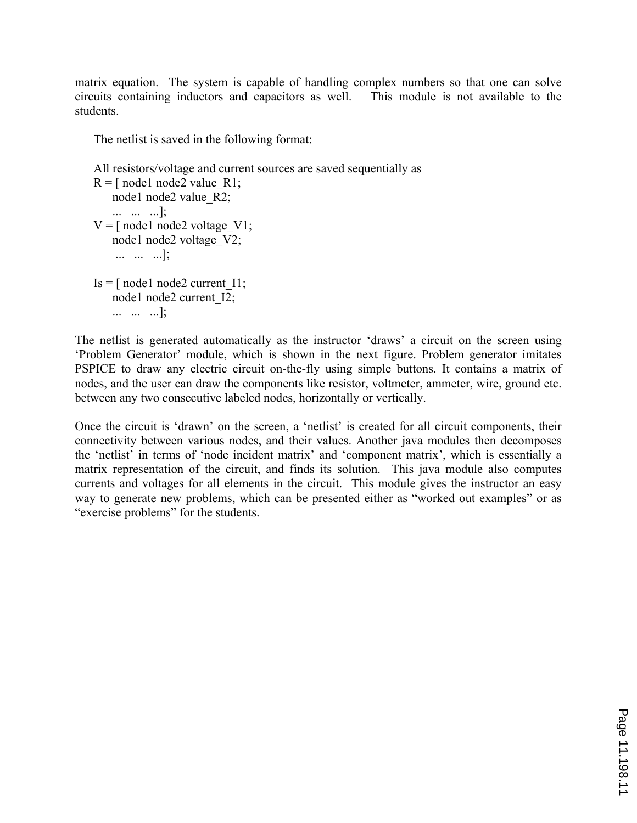matrix equation. The system is capable of handling complex numbers so that one can solve circuits containing inductors and capacitors as well. This module is not available to the students.

The netlist is saved in the following format:

```
All resistors/voltage and current sources are saved sequentially as 
R =[ node1 node2 value R1;
   node1 node2 value R2;
    ... ... ...]; 
V =[ node1 node2 voltage V1;
    node1 node2 voltage_V2; 
     ... ... ...]; 
Is = [node1 node2 current1];node1 node2 current I2;
    ... ... ...];
```
The netlist is generated automatically as the instructor 'draws' a circuit on the screen using 'Problem Generator' module, which is shown in the next figure. Problem generator imitates PSPICE to draw any electric circuit on-the-fly using simple buttons. It contains a matrix of nodes, and the user can draw the components like resistor, voltmeter, ammeter, wire, ground etc. between any two consecutive labeled nodes, horizontally or vertically.

Once the circuit is 'drawn' on the screen, a 'netlist' is created for all circuit components, their connectivity between various nodes, and their values. Another java modules then decomposes the 'netlist' in terms of 'node incident matrix' and 'component matrix', which is essentially a matrix representation of the circuit, and finds its solution. This java module also computes currents and voltages for all elements in the circuit. This module gives the instructor an easy way to generate new problems, which can be presented either as "worked out examples" or as "exercise problems" for the students.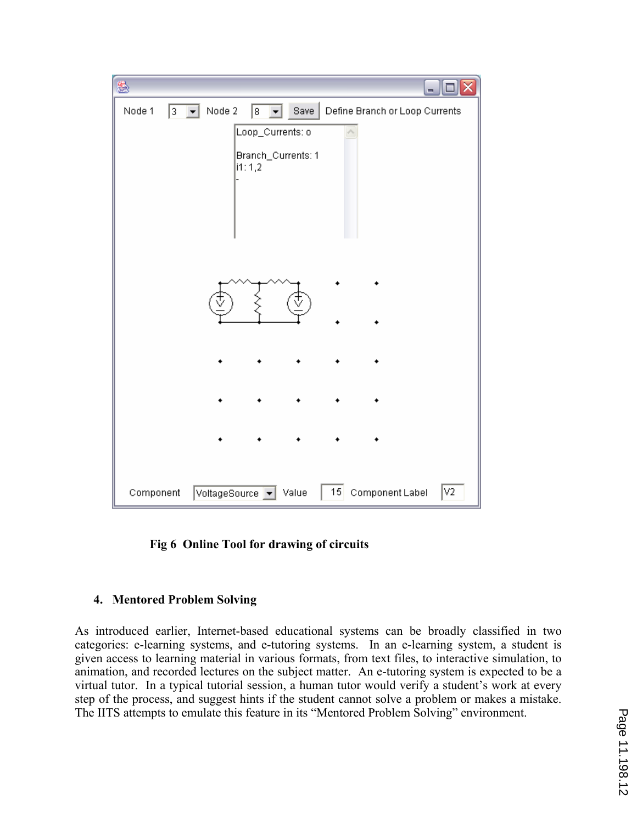|             | $ \blacksquare$ $\times$                                                                              |
|-------------|-------------------------------------------------------------------------------------------------------|
| Node 1<br>3 | Node 2<br>Save<br>Define Branch or Loop Currents<br>$8 \nightharpoondown$<br>$\vert \mathbf{v} \vert$ |
|             | Loop_Currents: o                                                                                      |
|             | Branch_Currents: 1<br>1:1,2                                                                           |
|             |                                                                                                       |
|             |                                                                                                       |
|             |                                                                                                       |
|             |                                                                                                       |
|             |                                                                                                       |
|             |                                                                                                       |
|             |                                                                                                       |
|             |                                                                                                       |
|             |                                                                                                       |
|             |                                                                                                       |
|             |                                                                                                       |
|             |                                                                                                       |
|             |                                                                                                       |
| Component   | 15 Component Label<br> v2<br>VoltageSource v Value                                                    |

**Fig 6 Online Tool for drawing of circuits** 

## **4. Mentored Problem Solving**

As introduced earlier, Internet-based educational systems can be broadly classified in two categories: e-learning systems, and e-tutoring systems. In an e-learning system, a student is given access to learning material in various formats, from text files, to interactive simulation, to animation, and recorded lectures on the subject matter. An e-tutoring system is expected to be a virtual tutor. In a typical tutorial session, a human tutor would verify a student's work at every step of the process, and suggest hints if the student cannot solve a problem or makes a mistake. The IITS attempts to emulate this feature in its "Mentored Problem Solving" environment.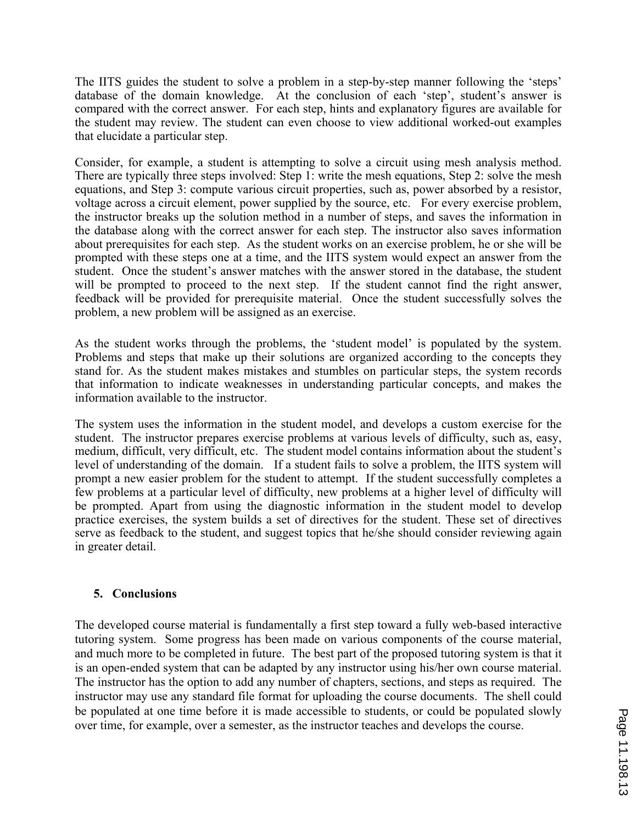The IITS guides the student to solve a problem in a step-by-step manner following the 'steps' database of the domain knowledge. At the conclusion of each 'step', student's answer is compared with the correct answer. For each step, hints and explanatory figures are available for the student may review. The student can even choose to view additional worked-out examples that elucidate a particular step.

Consider, for example, a student is attempting to solve a circuit using mesh analysis method. There are typically three steps involved: Step 1: write the mesh equations, Step 2: solve the mesh equations, and Step 3: compute various circuit properties, such as, power absorbed by a resistor, voltage across a circuit element, power supplied by the source, etc. For every exercise problem, the instructor breaks up the solution method in a number of steps, and saves the information in the database along with the correct answer for each step. The instructor also saves information about prerequisites for each step. As the student works on an exercise problem, he or she will be prompted with these steps one at a time, and the IITS system would expect an answer from the student. Once the student's answer matches with the answer stored in the database, the student will be prompted to proceed to the next step. If the student cannot find the right answer, feedback will be provided for prerequisite material. Once the student successfully solves the problem, a new problem will be assigned as an exercise.

As the student works through the problems, the 'student model' is populated by the system. Problems and steps that make up their solutions are organized according to the concepts they stand for. As the student makes mistakes and stumbles on particular steps, the system records that information to indicate weaknesses in understanding particular concepts, and makes the information available to the instructor.

The system uses the information in the student model, and develops a custom exercise for the student. The instructor prepares exercise problems at various levels of difficulty, such as, easy, medium, difficult, very difficult, etc. The student model contains information about the student's level of understanding of the domain. If a student fails to solve a problem, the IITS system will prompt a new easier problem for the student to attempt. If the student successfully completes a few problems at a particular level of difficulty, new problems at a higher level of difficulty will be prompted. Apart from using the diagnostic information in the student model to develop practice exercises, the system builds a set of directives for the student. These set of directives serve as feedback to the student, and suggest topics that he/she should consider reviewing again in greater detail.

## **5. Conclusions**

The developed course material is fundamentally a first step toward a fully web-based interactive tutoring system. Some progress has been made on various components of the course material, and much more to be completed in future. The best part of the proposed tutoring system is that it is an open-ended system that can be adapted by any instructor using his/her own course material. The instructor has the option to add any number of chapters, sections, and steps as required. The instructor may use any standard file format for uploading the course documents. The shell could be populated at one time before it is made accessible to students, or could be populated slowly over time, for example, over a semester, as the instructor teaches and develops the course.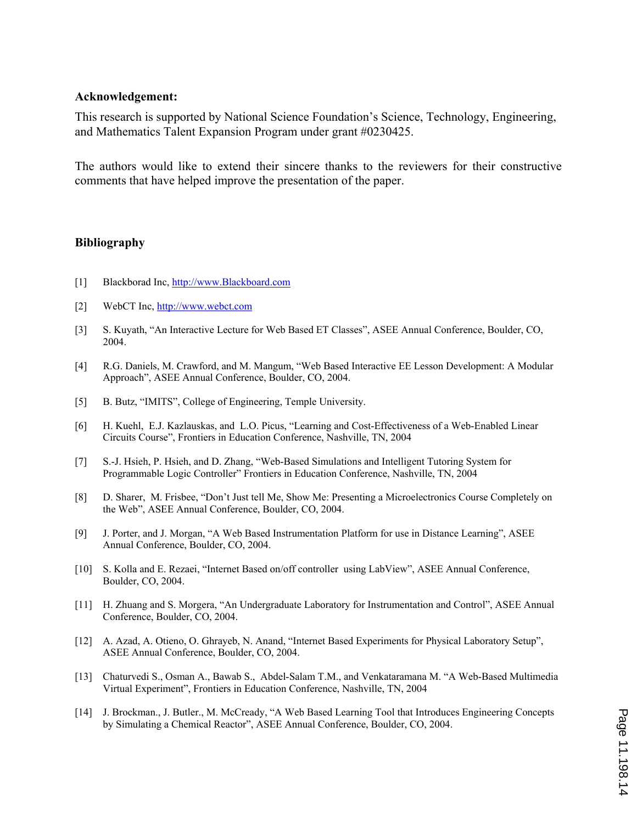#### **Acknowledgement:**

This research is supported by National Science Foundation's Science, Technology, Engineering, and Mathematics Talent Expansion Program under grant #0230425.

The authors would like to extend their sincere thanks to the reviewers for their constructive comments that have helped improve the presentation of the paper.

#### **Bibliography**

- [1] Blackborad Inc, http://www.Blackboard.com
- [2] WebCT Inc, http://www.webct.com
- [3] S. Kuyath, "An Interactive Lecture for Web Based ET Classes", ASEE Annual Conference, Boulder, CO, 2004.
- [4] R.G. Daniels, M. Crawford, and M. Mangum, "Web Based Interactive EE Lesson Development: A Modular Approach", ASEE Annual Conference, Boulder, CO, 2004.
- [5] B. Butz, "IMITS", College of Engineering, Temple University.
- [6] H. Kuehl, E.J. Kazlauskas, and L.O. Picus, "Learning and Cost-Effectiveness of a Web-Enabled Linear Circuits Course", Frontiers in Education Conference, Nashville, TN, 2004
- [7] S.-J. Hsieh, P. Hsieh, and D. Zhang, "Web-Based Simulations and Intelligent Tutoring System for Programmable Logic Controller" Frontiers in Education Conference, Nashville, TN, 2004
- [8] D. Sharer, M. Frisbee, "Don't Just tell Me, Show Me: Presenting a Microelectronics Course Completely on the Web", ASEE Annual Conference, Boulder, CO, 2004.
- [9] J. Porter, and J. Morgan, "A Web Based Instrumentation Platform for use in Distance Learning", ASEE Annual Conference, Boulder, CO, 2004.
- [10] S. Kolla and E. Rezaei, "Internet Based on/off controller using LabView", ASEE Annual Conference, Boulder, CO, 2004.
- [11] H. Zhuang and S. Morgera, "An Undergraduate Laboratory for Instrumentation and Control", ASEE Annual Conference, Boulder, CO, 2004.
- [12] A. Azad, A. Otieno, O. Ghrayeb, N. Anand, "Internet Based Experiments for Physical Laboratory Setup", ASEE Annual Conference, Boulder, CO, 2004.
- [13] Chaturvedi S., Osman A., Bawab S., Abdel-Salam T.M., and Venkataramana M. "A Web-Based Multimedia Virtual Experiment", Frontiers in Education Conference, Nashville, TN, 2004
- [14] J. Brockman., J. Butler., M. McCready, "A Web Based Learning Tool that Introduces Engineering Concepts by Simulating a Chemical Reactor", ASEE Annual Conference, Boulder, CO, 2004.